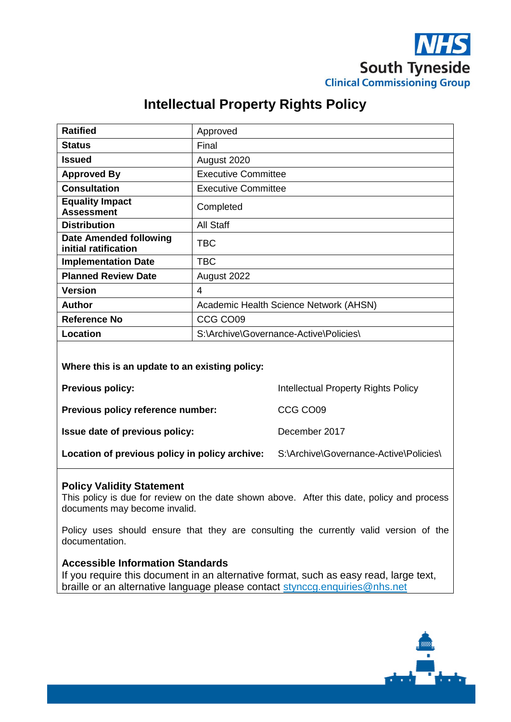

## **Intellectual Property Rights Policy**

| <b>Ratified</b>                                | Approved                               |
|------------------------------------------------|----------------------------------------|
| <b>Status</b>                                  | Final                                  |
| <b>Issued</b>                                  | August 2020                            |
| <b>Approved By</b>                             | <b>Executive Committee</b>             |
| <b>Consultation</b>                            | <b>Executive Committee</b>             |
| <b>Equality Impact</b><br><b>Assessment</b>    | Completed                              |
| <b>Distribution</b>                            | All Staff                              |
| Date Amended following<br>initial ratification | TBC                                    |
| <b>Implementation Date</b>                     | TBC                                    |
| <b>Planned Review Date</b>                     | August 2022                            |
| <b>Version</b>                                 | 4                                      |
| <b>Author</b>                                  | Academic Health Science Network (AHSN) |
| <b>Reference No</b>                            | CCG CO09                               |
| Location                                       | S:\Archive\Governance-Active\Policies\ |

**Where this is an update to an existing policy:**

**Previous policy:** The Previous policy: The Intellectual Property Rights Policy

**Previous policy reference number:** CCG CO09

**Issue date of previous policy:** December 2017

Location of previous policy in policy archive: S:\Archive\Governance-Active\Policies\

#### **Policy Validity Statement**

This policy is due for review on the date shown above. After this date, policy and process documents may become invalid.

Policy uses should ensure that they are consulting the currently valid version of the documentation.

#### **Accessible Information Standards**

If you require this document in an alternative format, such as easy read, large text, braille or an alternative language please contact [stynccg.enquiries@nhs.net](mailto:stynccg.enquiries@nhs.net)

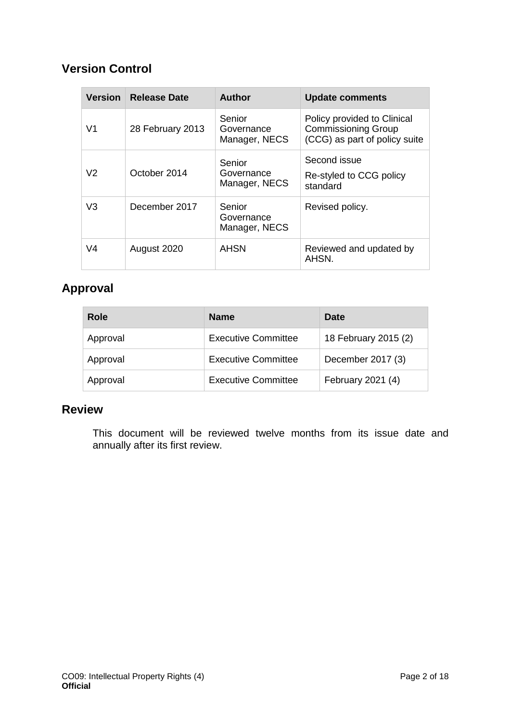## **Version Control**

| <b>Version</b> | <b>Release Date</b> | <b>Author</b>                         | <b>Update comments</b>                                                                     |
|----------------|---------------------|---------------------------------------|--------------------------------------------------------------------------------------------|
| V <sub>1</sub> | 28 February 2013    | Senior<br>Governance<br>Manager, NECS | Policy provided to Clinical<br><b>Commissioning Group</b><br>(CCG) as part of policy suite |
| V <sub>2</sub> | October 2014        | Senior<br>Governance<br>Manager, NECS | Second issue<br>Re-styled to CCG policy<br>standard                                        |
| V <sub>3</sub> | December 2017       | Senior<br>Governance<br>Manager, NECS | Revised policy.                                                                            |
| V <sub>4</sub> | August 2020         | <b>AHSN</b>                           | Reviewed and updated by<br>AHSN.                                                           |

## **Approval**

| Role     | <b>Name</b>                | Date                 |
|----------|----------------------------|----------------------|
| Approval | <b>Executive Committee</b> | 18 February 2015 (2) |
| Approval | <b>Executive Committee</b> | December 2017 (3)    |
| Approval | <b>Executive Committee</b> | February 2021 (4)    |

## **Review**

This document will be reviewed twelve months from its issue date and annually after its first review.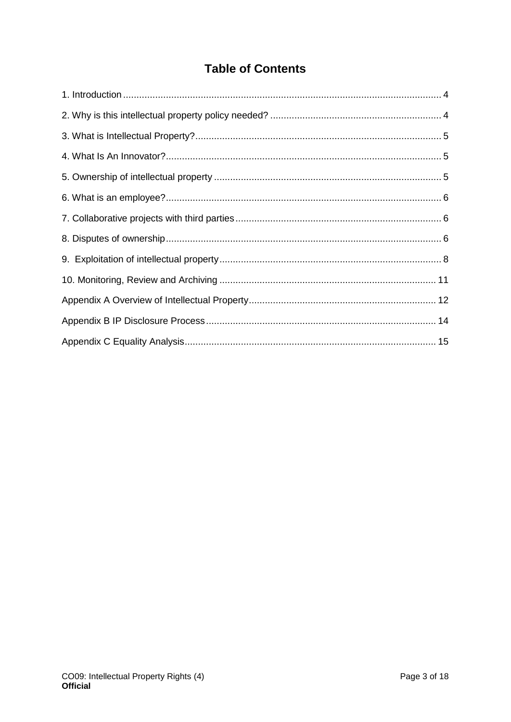## **Table of Contents**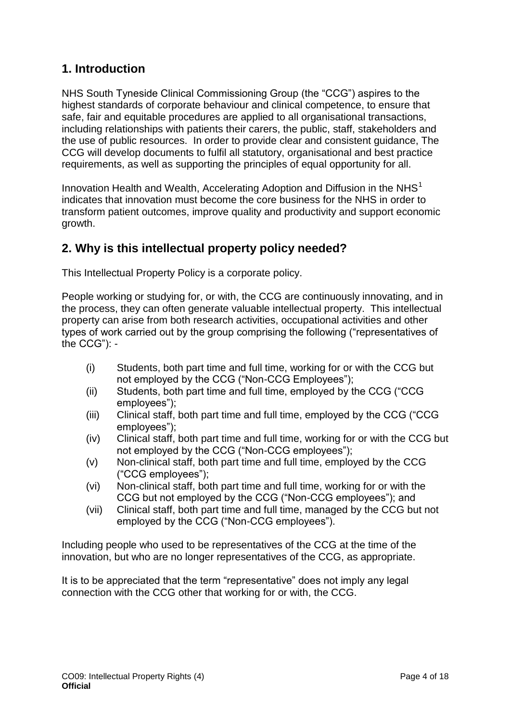## <span id="page-3-0"></span>**1. Introduction**

NHS South Tyneside Clinical Commissioning Group (the "CCG") aspires to the highest standards of corporate behaviour and clinical competence, to ensure that safe, fair and equitable procedures are applied to all organisational transactions, including relationships with patients their carers, the public, staff, stakeholders and the use of public resources. In order to provide clear and consistent guidance, The CCG will develop documents to fulfil all statutory, organisational and best practice requirements, as well as supporting the principles of equal opportunity for all.

Innovation Health and Wealth, Accelerating Adoption and Diffusion in the  $NHS<sup>1</sup>$ indicates that innovation must become the core business for the NHS in order to transform patient outcomes, improve quality and productivity and support economic growth.

## <span id="page-3-1"></span>**2. Why is this intellectual property policy needed?**

This Intellectual Property Policy is a corporate policy.

People working or studying for, or with, the CCG are continuously innovating, and in the process, they can often generate valuable intellectual property. This intellectual property can arise from both research activities, occupational activities and other types of work carried out by the group comprising the following ("representatives of the CCG"): -

- (i) Students, both part time and full time, working for or with the CCG but not employed by the CCG ("Non-CCG Employees");
- (ii) Students, both part time and full time, employed by the CCG ("CCG employees");
- (iii) Clinical staff, both part time and full time, employed by the CCG ("CCG employees");
- (iv) Clinical staff, both part time and full time, working for or with the CCG but not employed by the CCG ("Non-CCG employees");
- (v) Non-clinical staff, both part time and full time, employed by the CCG ("CCG employees");
- (vi) Non-clinical staff, both part time and full time, working for or with the CCG but not employed by the CCG ("Non-CCG employees"); and
- (vii) Clinical staff, both part time and full time, managed by the CCG but not employed by the CCG ("Non-CCG employees").

Including people who used to be representatives of the CCG at the time of the innovation, but who are no longer representatives of the CCG, as appropriate.

It is to be appreciated that the term "representative" does not imply any legal connection with the CCG other that working for or with, the CCG.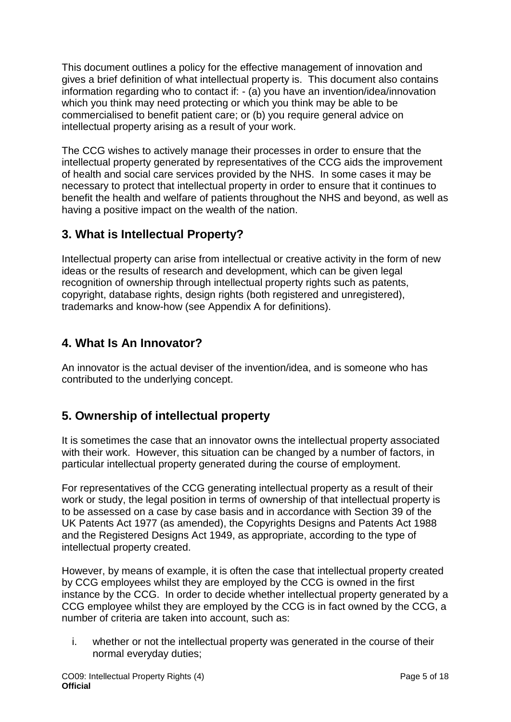This document outlines a policy for the effective management of innovation and gives a brief definition of what intellectual property is. This document also contains information regarding who to contact if: - (a) you have an invention/idea/innovation which you think may need protecting or which you think may be able to be commercialised to benefit patient care; or (b) you require general advice on intellectual property arising as a result of your work.

The CCG wishes to actively manage their processes in order to ensure that the intellectual property generated by representatives of the CCG aids the improvement of health and social care services provided by the NHS. In some cases it may be necessary to protect that intellectual property in order to ensure that it continues to benefit the health and welfare of patients throughout the NHS and beyond, as well as having a positive impact on the wealth of the nation.

## <span id="page-4-0"></span>**3. What is Intellectual Property?**

Intellectual property can arise from intellectual or creative activity in the form of new ideas or the results of research and development, which can be given legal recognition of ownership through intellectual property rights such as patents, copyright, database rights, design rights (both registered and unregistered), trademarks and know-how (see Appendix A for definitions).

## <span id="page-4-1"></span>**4. What Is An Innovator?**

An innovator is the actual deviser of the invention/idea, and is someone who has contributed to the underlying concept.

## <span id="page-4-2"></span>**5. Ownership of intellectual property**

It is sometimes the case that an innovator owns the intellectual property associated with their work. However, this situation can be changed by a number of factors, in particular intellectual property generated during the course of employment.

For representatives of the CCG generating intellectual property as a result of their work or study, the legal position in terms of ownership of that intellectual property is to be assessed on a case by case basis and in accordance with Section 39 of the UK Patents Act 1977 (as amended), the Copyrights Designs and Patents Act 1988 and the Registered Designs Act 1949, as appropriate, according to the type of intellectual property created.

However, by means of example, it is often the case that intellectual property created by CCG employees whilst they are employed by the CCG is owned in the first instance by the CCG. In order to decide whether intellectual property generated by a CCG employee whilst they are employed by the CCG is in fact owned by the CCG, a number of criteria are taken into account, such as:

i. whether or not the intellectual property was generated in the course of their normal everyday duties;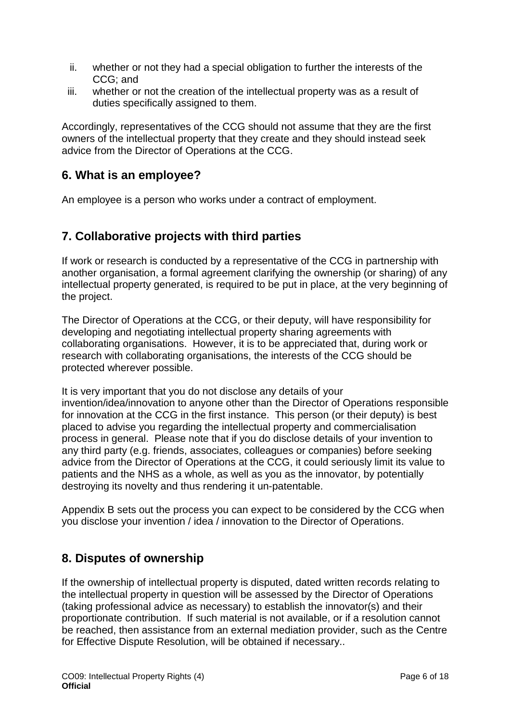- ii. whether or not they had a special obligation to further the interests of the CCG; and
- iii. whether or not the creation of the intellectual property was as a result of duties specifically assigned to them.

Accordingly, representatives of the CCG should not assume that they are the first owners of the intellectual property that they create and they should instead seek advice from the Director of Operations at the CCG.

## <span id="page-5-0"></span>**6. What is an employee?**

An employee is a person who works under a contract of employment.

## <span id="page-5-1"></span>**7. Collaborative projects with third parties**

If work or research is conducted by a representative of the CCG in partnership with another organisation, a formal agreement clarifying the ownership (or sharing) of any intellectual property generated, is required to be put in place, at the very beginning of the project.

The Director of Operations at the CCG, or their deputy, will have responsibility for developing and negotiating intellectual property sharing agreements with collaborating organisations. However, it is to be appreciated that, during work or research with collaborating organisations, the interests of the CCG should be protected wherever possible.

It is very important that you do not disclose any details of your invention/idea/innovation to anyone other than the Director of Operations responsible for innovation at the CCG in the first instance. This person (or their deputy) is best placed to advise you regarding the intellectual property and commercialisation process in general. Please note that if you do disclose details of your invention to any third party (e.g. friends, associates, colleagues or companies) before seeking advice from the Director of Operations at the CCG, it could seriously limit its value to patients and the NHS as a whole, as well as you as the innovator, by potentially destroying its novelty and thus rendering it un-patentable.

Appendix B sets out the process you can expect to be considered by the CCG when you disclose your invention / idea / innovation to the Director of Operations.

## <span id="page-5-2"></span>**8. Disputes of ownership**

If the ownership of intellectual property is disputed, dated written records relating to the intellectual property in question will be assessed by the Director of Operations (taking professional advice as necessary) to establish the innovator(s) and their proportionate contribution. If such material is not available, or if a resolution cannot be reached, then assistance from an external mediation provider, such as the Centre for Effective Dispute Resolution, will be obtained if necessary..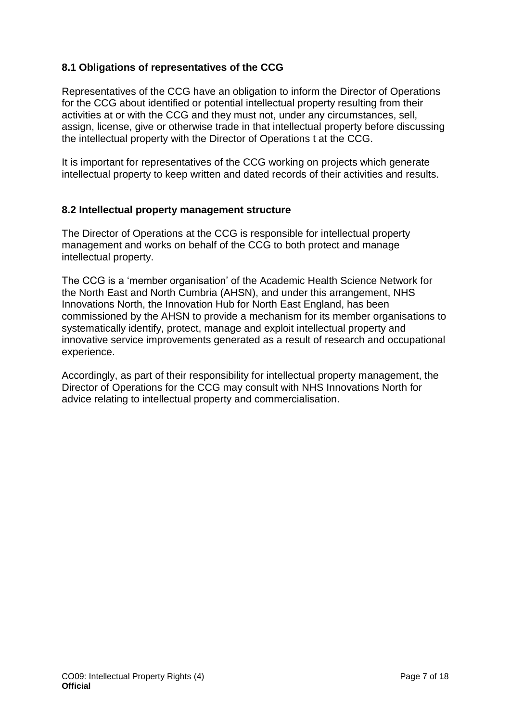#### **8.1 Obligations of representatives of the CCG**

Representatives of the CCG have an obligation to inform the Director of Operations for the CCG about identified or potential intellectual property resulting from their activities at or with the CCG and they must not, under any circumstances, sell, assign, license, give or otherwise trade in that intellectual property before discussing the intellectual property with the Director of Operations t at the CCG.

It is important for representatives of the CCG working on projects which generate intellectual property to keep written and dated records of their activities and results.

#### **8.2 Intellectual property management structure**

The Director of Operations at the CCG is responsible for intellectual property management and works on behalf of the CCG to both protect and manage intellectual property.

The CCG is a 'member organisation' of the Academic Health Science Network for the North East and North Cumbria (AHSN), and under this arrangement, NHS Innovations North, the Innovation Hub for North East England, has been commissioned by the AHSN to provide a mechanism for its member organisations to systematically identify, protect, manage and exploit intellectual property and innovative service improvements generated as a result of research and occupational experience.

Accordingly, as part of their responsibility for intellectual property management, the Director of Operations for the CCG may consult with NHS Innovations North for advice relating to intellectual property and commercialisation.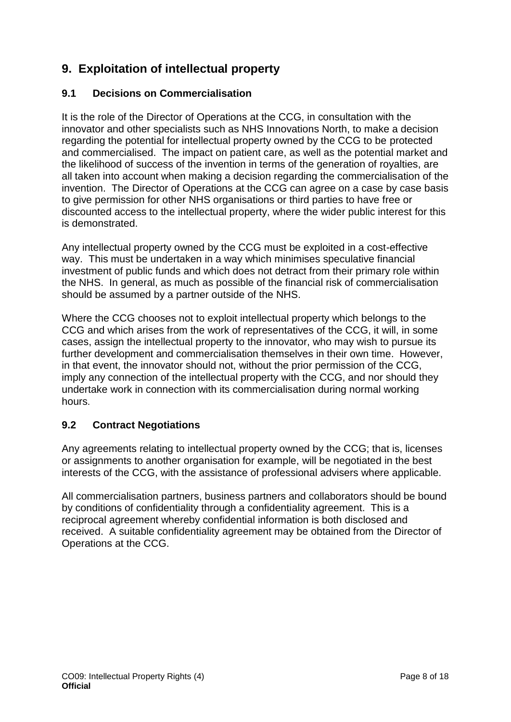## <span id="page-7-0"></span>**9. Exploitation of intellectual property**

#### **9.1 Decisions on Commercialisation**

It is the role of the Director of Operations at the CCG, in consultation with the innovator and other specialists such as NHS Innovations North, to make a decision regarding the potential for intellectual property owned by the CCG to be protected and commercialised. The impact on patient care, as well as the potential market and the likelihood of success of the invention in terms of the generation of royalties, are all taken into account when making a decision regarding the commercialisation of the invention. The Director of Operations at the CCG can agree on a case by case basis to give permission for other NHS organisations or third parties to have free or discounted access to the intellectual property, where the wider public interest for this is demonstrated.

Any intellectual property owned by the CCG must be exploited in a cost-effective way. This must be undertaken in a way which minimises speculative financial investment of public funds and which does not detract from their primary role within the NHS. In general, as much as possible of the financial risk of commercialisation should be assumed by a partner outside of the NHS.

Where the CCG chooses not to exploit intellectual property which belongs to the CCG and which arises from the work of representatives of the CCG, it will, in some cases, assign the intellectual property to the innovator, who may wish to pursue its further development and commercialisation themselves in their own time. However, in that event, the innovator should not, without the prior permission of the CCG, imply any connection of the intellectual property with the CCG, and nor should they undertake work in connection with its commercialisation during normal working hours.

#### **9.2 Contract Negotiations**

Any agreements relating to intellectual property owned by the CCG; that is, licenses or assignments to another organisation for example, will be negotiated in the best interests of the CCG, with the assistance of professional advisers where applicable.

All commercialisation partners, business partners and collaborators should be bound by conditions of confidentiality through a confidentiality agreement. This is a reciprocal agreement whereby confidential information is both disclosed and received. A suitable confidentiality agreement may be obtained from the Director of Operations at the CCG.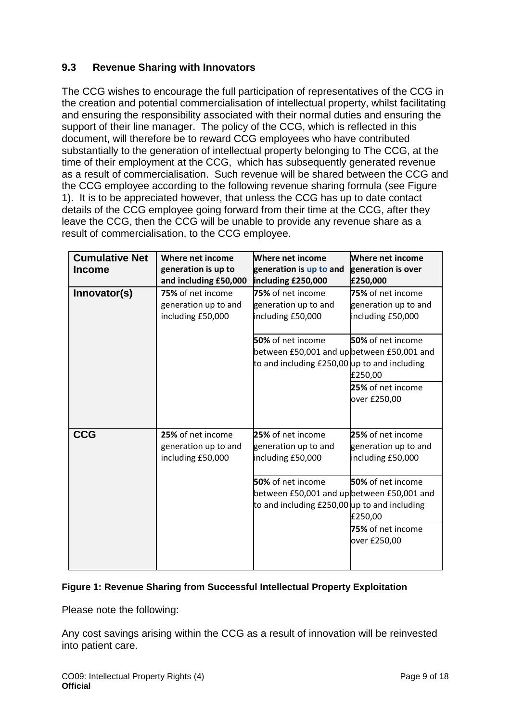#### **9.3 Revenue Sharing with Innovators**

The CCG wishes to encourage the full participation of representatives of the CCG in the creation and potential commercialisation of intellectual property, whilst facilitating and ensuring the responsibility associated with their normal duties and ensuring the support of their line manager. The policy of the CCG, which is reflected in this document, will therefore be to reward CCG employees who have contributed substantially to the generation of intellectual property belonging to The CCG, at the time of their employment at the CCG, which has subsequently generated revenue as a result of commercialisation. Such revenue will be shared between the CCG and the CCG employee according to the following revenue sharing formula (see Figure 1). It is to be appreciated however, that unless the CCG has up to date contact details of the CCG employee going forward from their time at the CCG, after they leave the CCG, then the CCG will be unable to provide any revenue share as a result of commercialisation, to the CCG employee.

| <b>Cumulative Net</b> | Where net income      | Where net income                             | <b>Where net income</b> |
|-----------------------|-----------------------|----------------------------------------------|-------------------------|
| <b>Income</b>         | generation is up to   | generation is up to and                      | generation is over      |
|                       | and including £50,000 | including £250,000                           | £250,000                |
| Innovator(s)          | 75% of net income     | 75% of net income                            | 75% of net income       |
|                       | generation up to and  | generation up to and                         | generation up to and    |
|                       | including £50,000     | including £50,000                            | including £50,000       |
|                       |                       |                                              |                         |
|                       |                       | 50% of net income                            | 50% of net income       |
|                       |                       | between £50,001 and up between £50,001 and   |                         |
|                       |                       | to and including £250,00 up to and including |                         |
|                       |                       |                                              | £250,00                 |
|                       |                       |                                              | 25% of net income       |
|                       |                       |                                              | over £250,00            |
|                       |                       |                                              |                         |
|                       |                       |                                              |                         |
| <b>CCG</b>            | 25% of net income     | 25% of net income                            | 25% of net income       |
|                       | generation up to and  | generation up to and                         | generation up to and    |
|                       | including £50,000     | including £50,000                            | including £50,000       |
|                       |                       |                                              |                         |
|                       |                       | 50% of net income                            | 50% of net income       |
|                       |                       | between £50,001 and up between £50,001 and   |                         |
|                       |                       | to and including £250,00 up to and including |                         |
|                       |                       |                                              | £250,00                 |
|                       |                       |                                              | 75% of net income       |
|                       |                       |                                              | over £250,00            |
|                       |                       |                                              |                         |
|                       |                       |                                              |                         |

#### **Figure 1: Revenue Sharing from Successful Intellectual Property Exploitation**

Please note the following:

Any cost savings arising within the CCG as a result of innovation will be reinvested into patient care.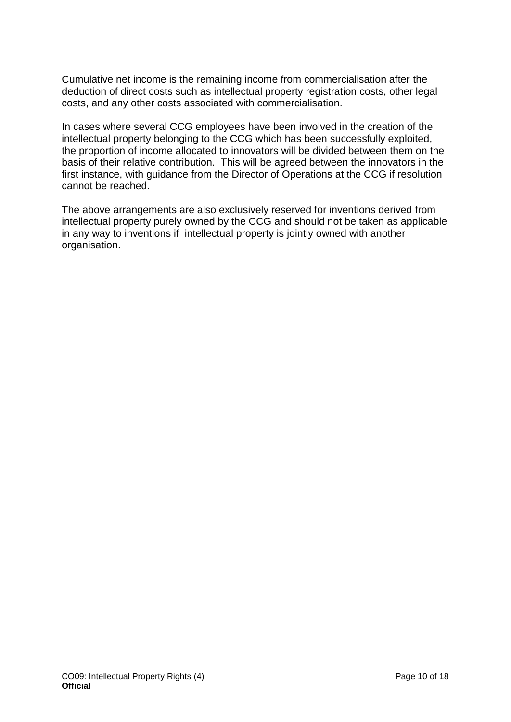Cumulative net income is the remaining income from commercialisation after the deduction of direct costs such as intellectual property registration costs, other legal costs, and any other costs associated with commercialisation.

In cases where several CCG employees have been involved in the creation of the intellectual property belonging to the CCG which has been successfully exploited, the proportion of income allocated to innovators will be divided between them on the basis of their relative contribution. This will be agreed between the innovators in the first instance, with guidance from the Director of Operations at the CCG if resolution cannot be reached.

The above arrangements are also exclusively reserved for inventions derived from intellectual property purely owned by the CCG and should not be taken as applicable in any way to inventions if intellectual property is jointly owned with another organisation.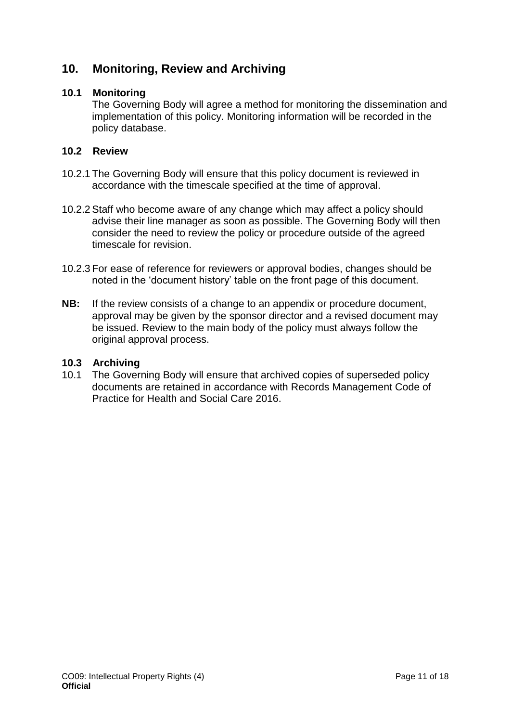## <span id="page-10-0"></span>**10. Monitoring, Review and Archiving**

#### **10.1 Monitoring**

The Governing Body will agree a method for monitoring the dissemination and implementation of this policy. Monitoring information will be recorded in the policy database.

#### **10.2 Review**

- 10.2.1 The Governing Body will ensure that this policy document is reviewed in accordance with the timescale specified at the time of approval.
- 10.2.2 Staff who become aware of any change which may affect a policy should advise their line manager as soon as possible. The Governing Body will then consider the need to review the policy or procedure outside of the agreed timescale for revision.
- 10.2.3 For ease of reference for reviewers or approval bodies, changes should be noted in the 'document history' table on the front page of this document.
- **NB:** If the review consists of a change to an appendix or procedure document, approval may be given by the sponsor director and a revised document may be issued. Review to the main body of the policy must always follow the original approval process.

#### **10.3 Archiving**

10.1 The Governing Body will ensure that archived copies of superseded policy documents are retained in accordance with Records Management Code of Practice for Health and Social Care 2016.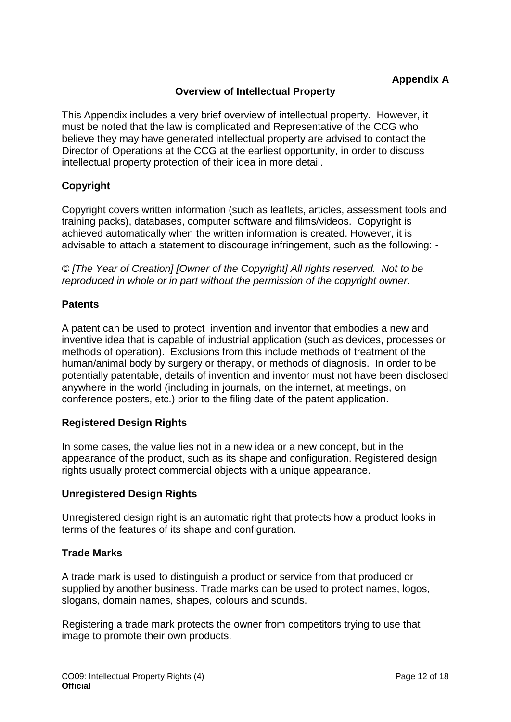#### **Overview of Intellectual Property**

<span id="page-11-1"></span><span id="page-11-0"></span>This Appendix includes a very brief overview of intellectual property. However, it must be noted that the law is complicated and Representative of the CCG who believe they may have generated intellectual property are advised to contact the Director of Operations at the CCG at the earliest opportunity, in order to discuss intellectual property protection of their idea in more detail.

#### **Copyright**

Copyright covers written information (such as leaflets, articles, assessment tools and training packs), databases, computer software and films/videos. Copyright is achieved automatically when the written information is created. However, it is advisable to attach a statement to discourage infringement, such as the following: -

*© [The Year of Creation] [Owner of the Copyright] All rights reserved. Not to be reproduced in whole or in part without the permission of the copyright owner.*

#### **Patents**

A patent can be used to protect invention and inventor that embodies a new and inventive idea that is capable of industrial application (such as devices, processes or methods of operation). Exclusions from this include methods of treatment of the human/animal body by surgery or therapy, or methods of diagnosis. In order to be potentially patentable, details of invention and inventor must not have been disclosed anywhere in the world (including in journals, on the internet, at meetings, on conference posters, etc.) prior to the filing date of the patent application.

#### **Registered Design Rights**

In some cases, the value lies not in a new idea or a new concept, but in the appearance of the product, such as its shape and configuration. Registered design rights usually protect commercial objects with a unique appearance.

#### **Unregistered Design Rights**

Unregistered design right is an automatic right that protects how a product looks in terms of the features of its shape and configuration.

#### **Trade Marks**

A trade mark is used to distinguish a product or service from that produced or supplied by another business. Trade marks can be used to protect names, logos, slogans, domain names, shapes, colours and sounds.

Registering a trade mark protects the owner from competitors trying to use that image to promote their own products.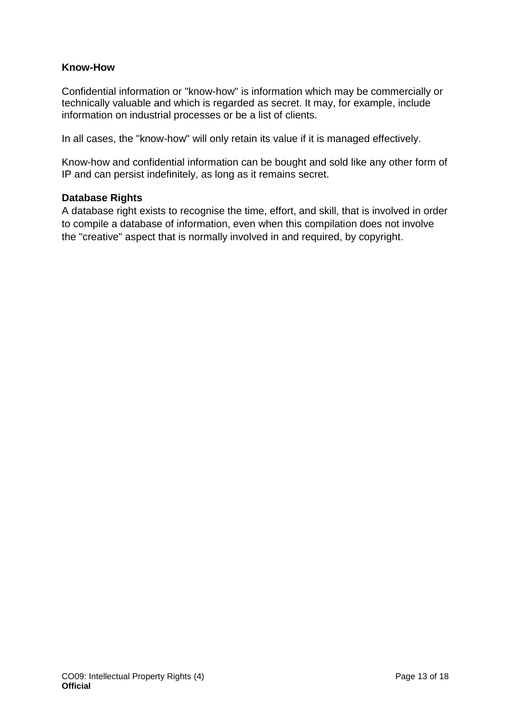#### **Know-How**

Confidential information or "know-how" is information which may be commercially or technically valuable and which is regarded as secret. It may, for example, include information on industrial processes or be a list of clients.

In all cases, the "know-how" will only retain its value if it is managed effectively.

Know-how and confidential information can be bought and sold like any other form of IP and can persist indefinitely, as long as it remains secret.

#### **Database Rights**

A database right exists to recognise the time, effort, and skill, that is involved in order to compile a database of information, even when this compilation does not involve the "creative" aspect that is normally involved in and required, by copyright.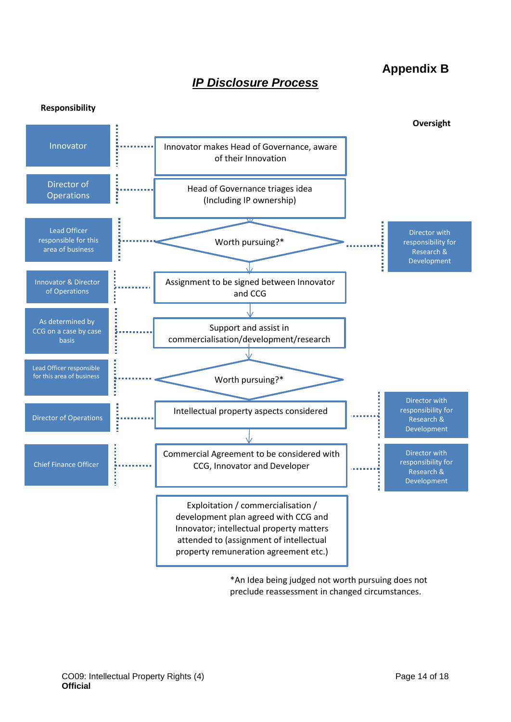## *IP Disclosure Process*

## **Appendix B**

<span id="page-13-1"></span><span id="page-13-0"></span>

\*An Idea being judged not worth pursuing does not preclude reassessment in changed circumstances.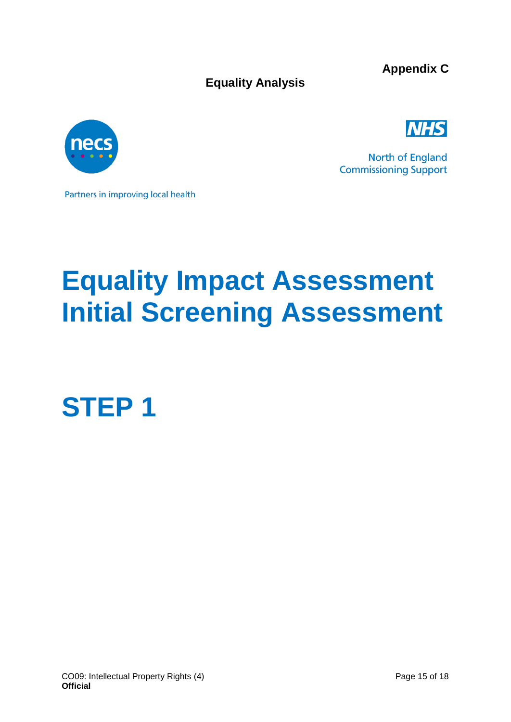**Equality Analysis**

**Appendix C**

<span id="page-14-1"></span><span id="page-14-0"></span>



North of England **Commissioning Support** 

Partners in improving local health

# **Equality Impact Assessment Initial Screening Assessment**

**STEP 1**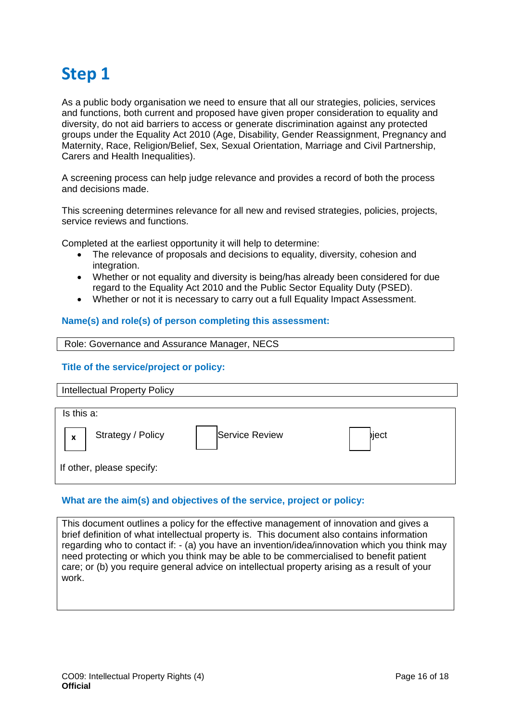## **Step 1**

As a public body organisation we need to ensure that all our strategies, policies, services and functions, both current and proposed have given proper consideration to equality and diversity, do not aid barriers to access or generate discrimination against any protected groups under the Equality Act 2010 (Age, Disability, Gender Reassignment, Pregnancy and Maternity, Race, Religion/Belief, Sex, Sexual Orientation, Marriage and Civil Partnership, Carers and Health Inequalities).

A screening process can help judge relevance and provides a record of both the process and decisions made.

This screening determines relevance for all new and revised strategies, policies, projects, service reviews and functions.

Completed at the earliest opportunity it will help to determine:

- The relevance of proposals and decisions to equality, diversity, cohesion and integration.
- Whether or not equality and diversity is being/has already been considered for due regard to the Equality Act 2010 and the Public Sector Equality Duty (PSED).
- Whether or not it is necessary to carry out a full Equality Impact Assessment.

#### **Name(s) and role(s) of person completing this assessment:**

#### Role: Governance and Assurance Manager, NECS

#### **Title of the service/project or policy:**

| <b>Intellectual Property Policy</b> |                       |       |
|-------------------------------------|-----------------------|-------|
| Is this a:                          |                       |       |
| Strategy / Policy<br>X              | <b>Service Review</b> | biect |
| If other, please specify:           |                       |       |

#### **What are the aim(s) and objectives of the service, project or policy:**

This document outlines a policy for the effective management of innovation and gives a brief definition of what intellectual property is. This document also contains information regarding who to contact if: - (a) you have an invention/idea/innovation which you think may need protecting or which you think may be able to be commercialised to benefit patient care; or (b) you require general advice on intellectual property arising as a result of your work.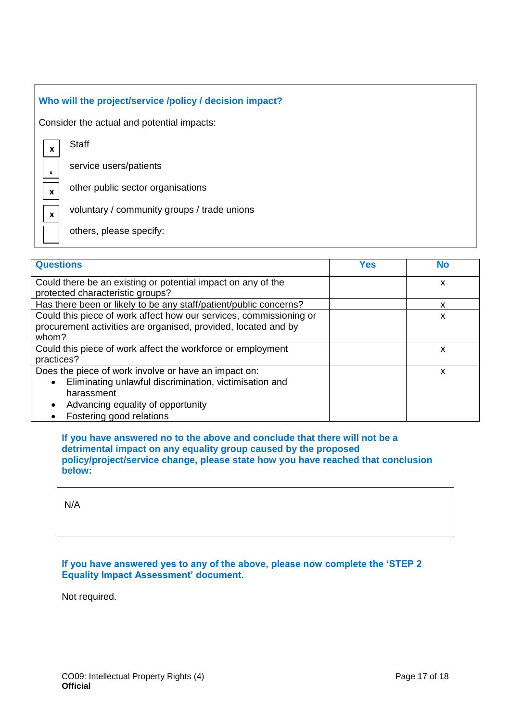| Who will the project/service /policy / decision impact? |                                             |  |
|---------------------------------------------------------|---------------------------------------------|--|
| Consider the actual and potential impacts:              |                                             |  |
| $\boldsymbol{x}$                                        | <b>Staff</b>                                |  |
| $\mathbf{x}$                                            | service users/patients                      |  |
| $\mathbf{x}$                                            | other public sector organisations           |  |
| $\boldsymbol{x}$                                        | voluntary / community groups / trade unions |  |
|                                                         | others, please specify:                     |  |
|                                                         |                                             |  |

| <b>Questions</b>                                                                                                                                                                                                        | <b>Yes</b> | <b>No</b> |
|-------------------------------------------------------------------------------------------------------------------------------------------------------------------------------------------------------------------------|------------|-----------|
| Could there be an existing or potential impact on any of the<br>protected characteristic groups?                                                                                                                        |            | X         |
| Has there been or likely to be any staff/patient/public concerns?                                                                                                                                                       |            | x         |
| Could this piece of work affect how our services, commissioning or<br>procurement activities are organised, provided, located and by<br>whom?                                                                           |            | X         |
| Could this piece of work affect the workforce or employment<br>practices?                                                                                                                                               |            | X         |
| Does the piece of work involve or have an impact on:<br>Eliminating unlawful discrimination, victimisation and<br>$\bullet$<br>harassment<br>Advancing equality of opportunity<br>$\bullet$<br>Fostering good relations |            | X         |

**If you have answered no to the above and conclude that there will not be a detrimental impact on any equality group caused by the proposed policy/project/service change, please state how you have reached that conclusion below:** 

N/A

**If you have answered yes to any of the above, please now complete the 'STEP 2 Equality Impact Assessment' document.** 

Not required.